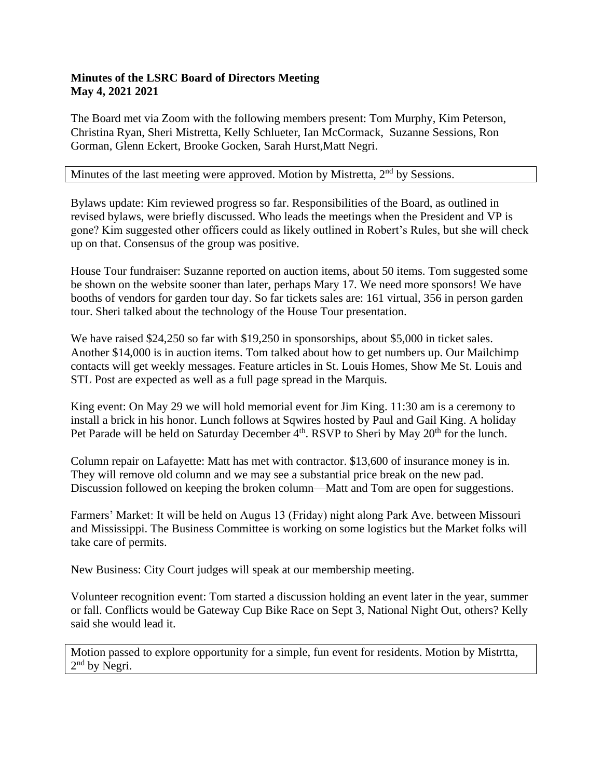## **Minutes of the LSRC Board of Directors Meeting May 4, 2021 2021**

The Board met via Zoom with the following members present: Tom Murphy, Kim Peterson, Christina Ryan, Sheri Mistretta, Kelly Schlueter, Ian McCormack, Suzanne Sessions, Ron Gorman, Glenn Eckert, Brooke Gocken, Sarah Hurst,Matt Negri.

## Minutes of the last meeting were approved. Motion by Mistretta, 2<sup>nd</sup> by Sessions.

Bylaws update: Kim reviewed progress so far. Responsibilities of the Board, as outlined in revised bylaws, were briefly discussed. Who leads the meetings when the President and VP is gone? Kim suggested other officers could as likely outlined in Robert's Rules, but she will check up on that. Consensus of the group was positive.

House Tour fundraiser: Suzanne reported on auction items, about 50 items. Tom suggested some be shown on the website sooner than later, perhaps Mary 17. We need more sponsors! We have booths of vendors for garden tour day. So far tickets sales are: 161 virtual, 356 in person garden tour. Sheri talked about the technology of the House Tour presentation.

We have raised \$24,250 so far with \$19,250 in sponsorships, about \$5,000 in ticket sales. Another \$14,000 is in auction items. Tom talked about how to get numbers up. Our Mailchimp contacts will get weekly messages. Feature articles in St. Louis Homes, Show Me St. Louis and STL Post are expected as well as a full page spread in the Marquis.

King event: On May 29 we will hold memorial event for Jim King. 11:30 am is a ceremony to install a brick in his honor. Lunch follows at Sqwires hosted by Paul and Gail King. A holiday Pet Parade will be held on Saturday December 4<sup>th</sup>. RSVP to Sheri by May 20<sup>th</sup> for the lunch.

Column repair on Lafayette: Matt has met with contractor. \$13,600 of insurance money is in. They will remove old column and we may see a substantial price break on the new pad. Discussion followed on keeping the broken column—Matt and Tom are open for suggestions.

Farmers' Market: It will be held on Augus 13 (Friday) night along Park Ave. between Missouri and Mississippi. The Business Committee is working on some logistics but the Market folks will take care of permits.

New Business: City Court judges will speak at our membership meeting.

Volunteer recognition event: Tom started a discussion holding an event later in the year, summer or fall. Conflicts would be Gateway Cup Bike Race on Sept 3, National Night Out, others? Kelly said she would lead it.

Motion passed to explore opportunity for a simple, fun event for residents. Motion by Mistrtta, 2<sup>nd</sup> by Negri.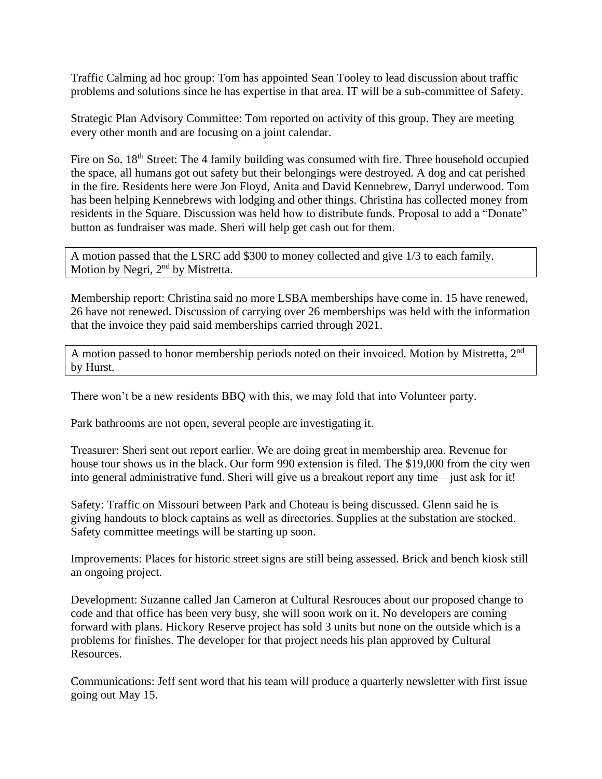Traffic Calming ad hoc group: Tom has appointed Sean Tooley to lead discussion about traffic problems and solutions since he has expertise in that area. IT will be a sub-committee of Safety.

Strategic Plan Advisory Committee: Tom reported on activity of this group. They are meeting every other month and are focusing on a joint calendar.

Fire on So. 18<sup>th</sup> Street: The 4 family building was consumed with fire. Three household occupied the space, all humans got out safety but their belongings were destroyed. A dog and cat perished in the fire. Residents here were Jon Floyd, Anita and David Kennebrew, Darryl underwood. Tom has been helping Kennebrews with lodging and other things. Christina has collected money from residents in the Square. Discussion was held how to distribute funds. Proposal to add a "Donate" button as fundraiser was made. Sheri will help get cash out for them.

A motion passed that the LSRC add \$300 to money collected and give 1/3 to each family. Motion by Negri, 2<sup>nd</sup> by Mistretta.

Membership report: Christina said no more LSBA memberships have come in. 15 have renewed, 26 have not renewed. Discussion of carrying over 26 memberships was held with the information that the invoice they paid said memberships carried through 2021.

A motion passed to honor membership periods noted on their invoiced. Motion by Mistretta, 2nd by Hurst.

There won't be a new residents BBQ with this, we may fold that into Volunteer party.

Park bathrooms are not open, several people are investigating it.

Treasurer: Sheri sent out report earlier. We are doing great in membership area. Revenue for house tour shows us in the black. Our form 990 extension is filed. The \$19,000 from the city wen into general administrative fund. Sheri will give us a breakout report any time—just ask for it!

Safety: Traffic on Missouri between Park and Choteau is being discussed. Glenn said he is giving handouts to block captains as well as directories. Supplies at the substation are stocked. Safety committee meetings will be starting up soon.

Improvements: Places for historic street signs are still being assessed. Brick and bench kiosk still an ongoing project.

Development: Suzanne called Jan Cameron at Cultural Resrouces about our proposed change to code and that office has been very busy, she will soon work on it. No developers are coming forward with plans. Hickory Reserve project has sold 3 units but none on the outside which is a problems for finishes. The developer for that project needs his plan approved by Cultural Resources.

Communications: Jeff sent word that his team will produce a quarterly newsletter with first issue going out May 15.